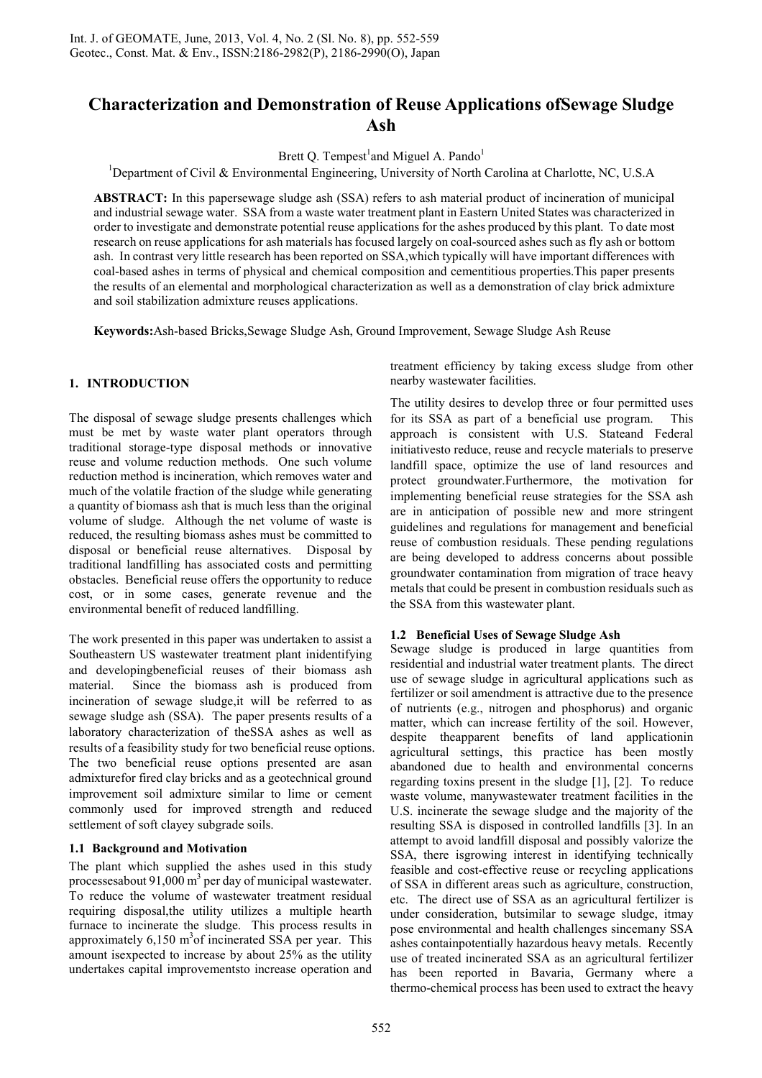# **Characterization and Demonstration of Reuse Applications ofSewage Sludge Ash**

Brett Q. Tempest<sup>1</sup> and Miguel A. Pando<sup>1</sup>

<sup>1</sup>Department of Civil & Environmental Engineering, University of North Carolina at Charlotte, NC, U.S.A

**ABSTRACT:** In this papersewage sludge ash (SSA) refers to ash material product of incineration of municipal and industrial sewage water. SSA from a waste water treatment plant in Eastern United States was characterized in order to investigate and demonstrate potential reuse applications for the ashes produced by this plant. To date most research on reuse applications for ash materials has focused largely on coal-sourced ashes such as fly ash or bottom ash. In contrast very little research has been reported on SSA,which typically will have important differences with coal-based ashes in terms of physical and chemical composition and cementitious properties.This paper presents the results of an elemental and morphological characterization as well as a demonstration of clay brick admixture and soil stabilization admixture reuses applications.

**Keywords:**Ash-based Bricks,Sewage Sludge Ash, Ground Improvement, Sewage Sludge Ash Reuse

# **1. INTRODUCTION**

The disposal of sewage sludge presents challenges which must be met by waste water plant operators through traditional storage-type disposal methods or innovative reuse and volume reduction methods. One such volume reduction method is incineration, which removes water and much of the volatile fraction of the sludge while generating a quantity of biomass ash that is much less than the original volume of sludge. Although the net volume of waste is reduced, the resulting biomass ashes must be committed to disposal or beneficial reuse alternatives. Disposal by traditional landfilling has associated costs and permitting obstacles. Beneficial reuse offers the opportunity to reduce cost, or in some cases, generate revenue and the environmental benefit of reduced landfilling.

The work presented in this paper was undertaken to assist a Southeastern US wastewater treatment plant inidentifying and developingbeneficial reuses of their biomass ash material. Since the biomass ash is produced from incineration of sewage sludge,it will be referred to as sewage sludge ash (SSA). The paper presents results of a laboratory characterization of theSSA ashes as well as results of a feasibility study for two beneficial reuse options. The two beneficial reuse options presented are asan admixturefor fired clay bricks and as a geotechnical ground improvement soil admixture similar to lime or cement commonly used for improved strength and reduced settlement of soft clayey subgrade soils.

# **1.1 Background and Motivation**

The plant which supplied the ashes used in this study processesabout 91,000  $\text{m}^3$  per day of municipal wastewater. To reduce the volume of wastewater treatment residual requiring disposal,the utility utilizes a multiple hearth furnace to incinerate the sludge. This process results in approximately  $6,150 \text{ m}^3$  of incinerated SSA per year. This amount isexpected to increase by about 25% as the utility undertakes capital improvementsto increase operation and

treatment efficiency by taking excess sludge from other nearby wastewater facilities.

The utility desires to develop three or four permitted uses for its SSA as part of a beneficial use program. This approach is consistent with U.S. Stateand Federal initiativesto reduce, reuse and recycle materials to preserve landfill space, optimize the use of land resources and protect groundwater.Furthermore, the motivation for implementing beneficial reuse strategies for the SSA ash are in anticipation of possible new and more stringent guidelines and regulations for management and beneficial reuse of combustion residuals. These pending regulations are being developed to address concerns about possible groundwater contamination from migration of trace heavy metals that could be present in combustion residuals such as the SSA from this wastewater plant.

# **1.2 Beneficial Uses of Sewage Sludge Ash**

Sewage sludge is produced in large quantities from residential and industrial water treatment plants. The direct use of sewage sludge in agricultural applications such as fertilizer or soil amendment is attractive due to the presence of nutrients (e.g., nitrogen and phosphorus) and organic matter, which can increase fertility of the soil. However, despite theapparent benefits of land applicationin agricultural settings, this practice has been mostly abandoned due to health and environmental concerns regarding toxins present in the sludge [1], [2]. To reduce waste volume, manywastewater treatment facilities in the U.S. incinerate the sewage sludge and the majority of the resulting SSA is disposed in controlled landfills [3]. In an attempt to avoid landfill disposal and possibly valorize the SSA, there isgrowing interest in identifying technically feasible and cost-effective reuse or recycling applications of SSA in different areas such as agriculture, construction, etc. The direct use of SSA as an agricultural fertilizer is under consideration, butsimilar to sewage sludge, itmay pose environmental and health challenges sincemany SSA ashes containpotentially hazardous heavy metals. Recently use of treated incinerated SSA as an agricultural fertilizer has been reported in Bavaria, Germany where a thermo-chemical process has been used to extract the heavy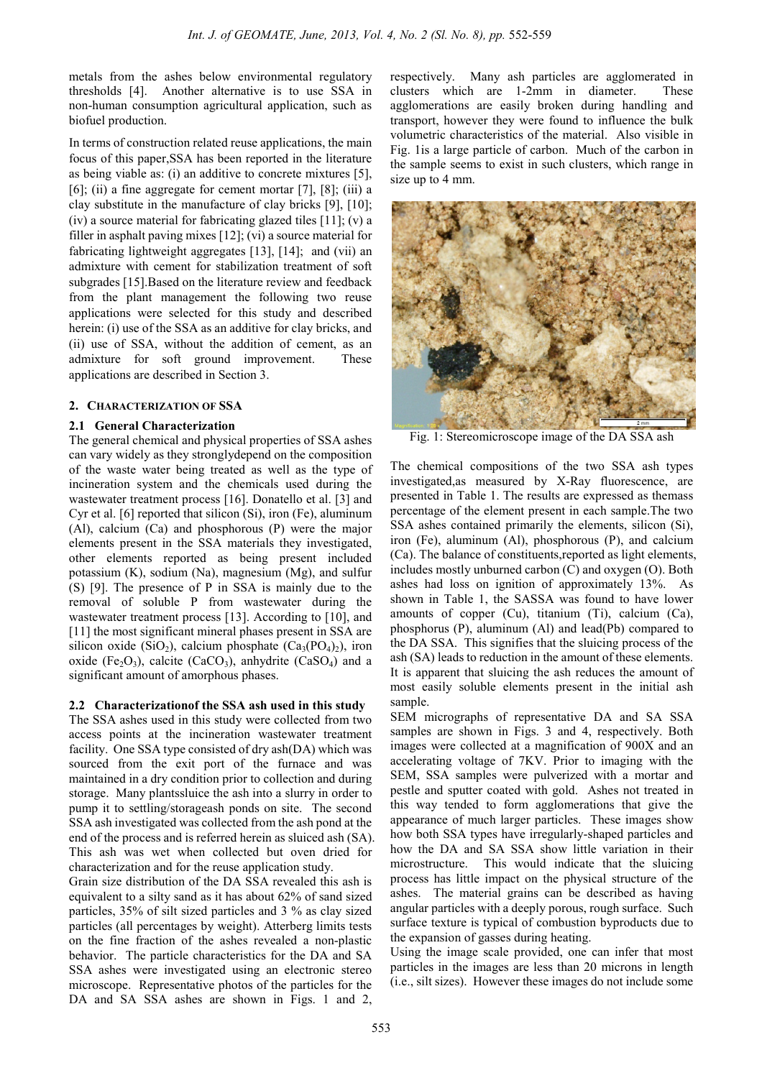metals from the ashes below environmental regulatory thresholds [4]. Another alternative is to use SSA in non-human consumption agricultural application, such as biofuel production.

In terms of construction related reuse applications, the main focus of this paper,SSA has been reported in the literature as being viable as: (i) an additive to concrete mixtures [5], [6]; (ii) a fine aggregate for cement mortar  $[7]$ ,  $[8]$ ; (iii) a clay substitute in the manufacture of clay bricks [9], [10]; (iv) a source material for fabricating glazed tiles [11]; (v) a filler in asphalt paving mixes [12]; (vi) a source material for fabricating lightweight aggregates [13], [14]; and (vii) an admixture with cement for stabilization treatment of soft subgrades [15].Based on the literature review and feedback from the plant management the following two reuse applications were selected for this study and described herein: (i) use of the SSA as an additive for clay bricks, and (ii) use of SSA, without the addition of cement, as an admixture for soft ground improvement. These applications are described in Section 3.

# **2. CHARACTERIZATION OF SSA**

# **2.1 General Characterization**

The general chemical and physical properties of SSA ashes can vary widely as they stronglydepend on the composition of the waste water being treated as well as the type of incineration system and the chemicals used during the wastewater treatment process [16]. Donatello et al. [3] and Cyr et al. [6] reported that silicon (Si), iron (Fe), aluminum (Al), calcium (Ca) and phosphorous (P) were the major elements present in the SSA materials they investigated, other elements reported as being present included potassium (K), sodium (Na), magnesium (Mg), and sulfur (S) [9]. The presence of P in SSA is mainly due to the removal of soluble P from wastewater during the wastewater treatment process [13]. According to [10], and [11] the most significant mineral phases present in SSA are silicon oxide (SiO<sub>2</sub>), calcium phosphate (Ca<sub>3</sub>(PO<sub>4</sub>)<sub>2</sub>), iron oxide (Fe<sub>2</sub>O<sub>3</sub>), calcite (CaCO<sub>3</sub>), anhydrite (CaSO<sub>4</sub>) and a significant amount of amorphous phases.

# **2.2 Characterizationof the SSA ash used in this study**

The SSA ashes used in this study were collected from two access points at the incineration wastewater treatment facility. One SSA type consisted of dry ash(DA) which was sourced from the exit port of the furnace and was maintained in a dry condition prior to collection and during storage. Many plantssluice the ash into a slurry in order to pump it to settling/storageash ponds on site. The second SSA ash investigated was collected from the ash pond at the end of the process and is referred herein as sluiced ash (SA). This ash was wet when collected but oven dried for characterization and for the reuse application study.

Grain size distribution of the DA SSA revealed this ash is equivalent to a silty sand as it has about 62% of sand sized particles, 35% of silt sized particles and 3 % as clay sized particles (all percentages by weight). Atterberg limits tests on the fine fraction of the ashes revealed a non-plastic behavior. The particle characteristics for the DA and SA SSA ashes were investigated using an electronic stereo microscope. Representative photos of the particles for the DA and SA SSA ashes are shown in Figs. 1 and 2, respectively. Many ash particles are agglomerated in clusters which are 1-2mm in diameter. These agglomerations are easily broken during handling and transport, however they were found to influence the bulk volumetric characteristics of the material. Also visible in Fig. 1is a large particle of carbon. Much of the carbon in the sample seems to exist in such clusters, which range in size up to 4 mm.



Fig. 1: Stereomicroscope image of the DA SSA ash

The chemical compositions of the two SSA ash types investigated,as measured by X-Ray fluorescence, are presented in Table 1. The results are expressed as themass percentage of the element present in each sample.The two SSA ashes contained primarily the elements, silicon (Si), iron (Fe), aluminum (Al), phosphorous (P), and calcium (Ca). The balance of constituents,reported as light elements, includes mostly unburned carbon (C) and oxygen (O). Both ashes had loss on ignition of approximately 13%. As shown in Table 1, the SASSA was found to have lower amounts of copper (Cu), titanium (Ti), calcium (Ca), phosphorus (P), aluminum (Al) and lead(Pb) compared to the DA SSA. This signifies that the sluicing process of the ash (SA) leads to reduction in the amount of these elements. It is apparent that sluicing the ash reduces the amount of most easily soluble elements present in the initial ash sample.

SEM micrographs of representative DA and SA SSA samples are shown in Figs. 3 and 4, respectively. Both images were collected at a magnification of 900X and an accelerating voltage of 7KV. Prior to imaging with the SEM, SSA samples were pulverized with a mortar and pestle and sputter coated with gold. Ashes not treated in this way tended to form agglomerations that give the appearance of much larger particles. These images show how both SSA types have irregularly-shaped particles and how the DA and SA SSA show little variation in their microstructure. This would indicate that the sluicing process has little impact on the physical structure of the ashes. The material grains can be described as having angular particles with a deeply porous, rough surface. Such surface texture is typical of combustion byproducts due to the expansion of gasses during heating.

Using the image scale provided, one can infer that most particles in the images are less than 20 microns in length (i.e., silt sizes). However these images do not include some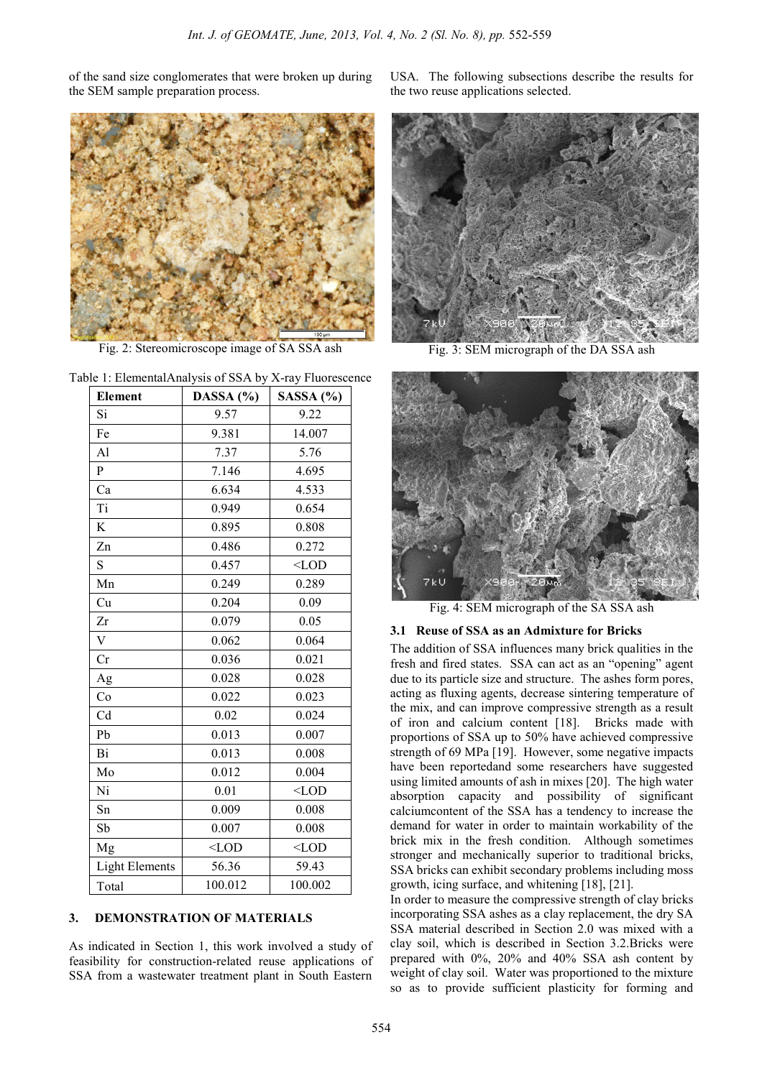of the sand size conglomerates that were broken up during the SEM sample preparation process.



Fig. 2: Stereomicroscope image of SA SSA ash

| Table 1: ElementalAnalysis of SSA by X-ray Fluorescence |  |  |
|---------------------------------------------------------|--|--|
|---------------------------------------------------------|--|--|

| <b>Element</b>        | $\cdot$<br>DASSA (%) | ر ب<br>SASSA (%) |
|-----------------------|----------------------|------------------|
| Si                    | 9.57                 | 9.22             |
| Fe                    | 9.381                | 14.007           |
| Al                    | 7.37                 | 5.76             |
| P                     | 7.146                | 4.695            |
| Ca                    | 6.634                | 4.533            |
| Ti                    | 0.949                | 0.654            |
| K                     | 0.895                | 0.808            |
| Zn                    | 0.486                | 0.272            |
| S                     | 0.457                | $<$ LOD          |
| Mn                    | 0.249                | 0.289            |
| Cu                    | 0.204                | 0.09             |
| Zr                    | 0.079                | 0.05             |
| $\bar{V}$             | 0.062                | 0.064            |
| Cr                    | 0.036                | 0.021            |
| Ag                    | 0.028                | 0.028            |
| Co                    | 0.022                | 0.023            |
| Cd                    | 0.02                 | 0.024            |
| Pb                    | 0.013                | 0.007            |
| Bi                    | 0.013                | 0.008            |
| Mo                    | 0.012                | 0.004            |
| Ni                    | 0.01                 | $<$ LOD          |
| Sn                    | 0.009                | 0.008            |
| Sb                    | 0.007                | 0.008            |
| Mg                    | $<$ LOD              | $<$ LOD          |
| <b>Light Elements</b> | 56.36                | 59.43            |
| Total                 | 100.012              | 100.002          |

# **3. DEMONSTRATION OF MATERIALS**

As indicated in Section 1, this work involved a study of feasibility for construction-related reuse applications of SSA from a wastewater treatment plant in South Eastern

USA. The following subsections describe the results for the two reuse applications selected.



Fig. 3: SEM micrograph of the DA SSA ash



Fig. 4: SEM micrograph of the SA SSA ash

#### **3.1 Reuse of SSA as an Admixture for Bricks**

The addition of SSA influences many brick qualities in the fresh and fired states. SSA can act as an "opening" agent due to its particle size and structure. The ashes form pores, acting as fluxing agents, decrease sintering temperature of the mix, and can improve compressive strength as a result of iron and calcium content [18]. Bricks made with proportions of SSA up to 50% have achieved compressive strength of 69 MPa [19]. However, some negative impacts have been reportedand some researchers have suggested using limited amounts of ash in mixes [20]. The high water absorption capacity and possibility of significant calciumcontent of the SSA has a tendency to increase the demand for water in order to maintain workability of the brick mix in the fresh condition. Although sometimes stronger and mechanically superior to traditional bricks, SSA bricks can exhibit secondary problems including moss growth, icing surface, and whitening [18], [21].

In order to measure the compressive strength of clay bricks incorporating SSA ashes as a clay replacement, the dry SA SSA material described in Section 2.0 was mixed with a clay soil, which is described in Section 3.2.Bricks were prepared with 0%, 20% and 40% SSA ash content by weight of clay soil. Water was proportioned to the mixture so as to provide sufficient plasticity for forming and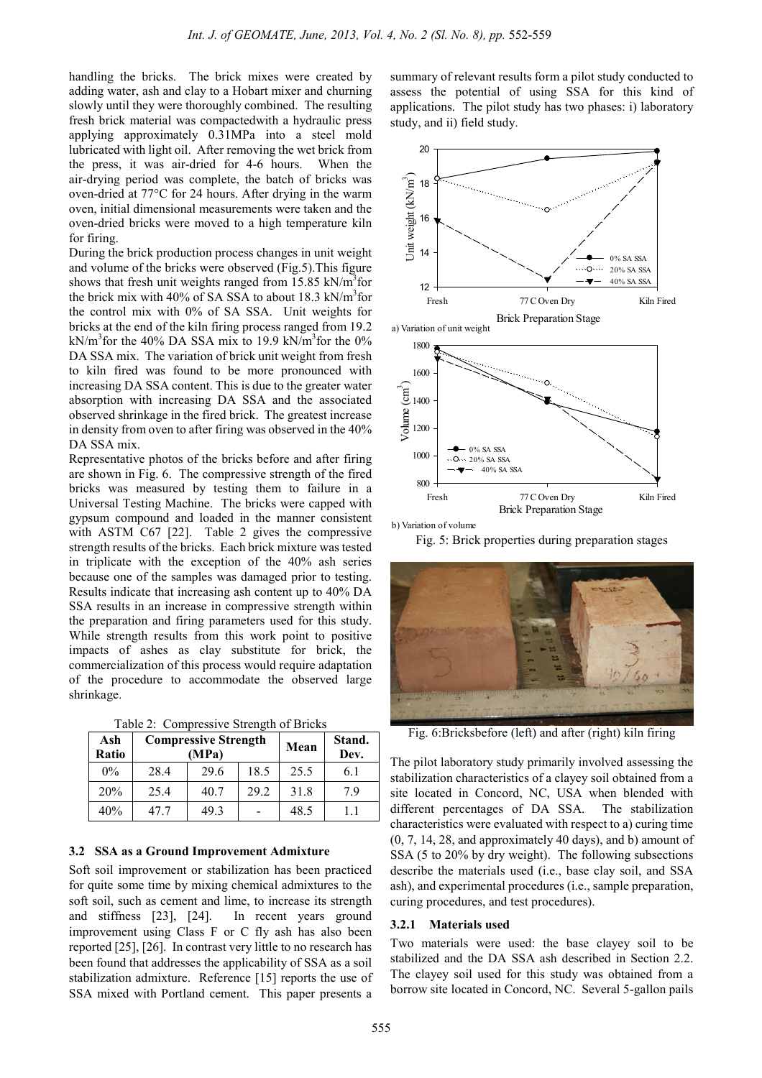handling the bricks. The brick mixes were created by adding water, ash and clay to a Hobart mixer and churning slowly until they were thoroughly combined. The resulting fresh brick material was compactedwith a hydraulic press applying approximately 0.31MPa into a steel mold lubricated with light oil. After removing the wet brick from the press, it was air-dried for 4-6 hours. When the air-drying period was complete, the batch of bricks was oven-dried at 77°C for 24 hours. After drying in the warm oven, initial dimensional measurements were taken and the oven-dried bricks were moved to a high temperature kiln for firing.

During the brick production process changes in unit weight and volume of the bricks were observed (Fig.5).This figure shows that fresh unit weights ranged from 15.85 kN/m<sup>3</sup>for the brick mix with 40% of SA SSA to about 18.3 kN/ $m<sup>3</sup>$ for the control mix with 0% of SA SSA. Unit weights for bricks at the end of the kiln firing process ranged from 19.2 kN/m<sup>3</sup> for the 40% DA SSA mix to 19.9 kN/m<sup>3</sup> for the 0% DA SSA mix. The variation of brick unit weight from fresh to kiln fired was found to be more pronounced with increasing DA SSA content. This is due to the greater water absorption with increasing DA SSA and the associated observed shrinkage in the fired brick. The greatest increase in density from oven to after firing was observed in the 40% DA SSA mix.

Representative photos of the bricks before and after firing are shown in Fig. 6. The compressive strength of the fired bricks was measured by testing them to failure in a Universal Testing Machine. The bricks were capped with gypsum compound and loaded in the manner consistent with ASTM C67 [22]. Table 2 gives the compressive strength results of the bricks. Each brick mixture was tested in triplicate with the exception of the 40% ash series because one of the samples was damaged prior to testing. Results indicate that increasing ash content up to 40% DA SSA results in an increase in compressive strength within the preparation and firing parameters used for this study. While strength results from this work point to positive impacts of ashes as clay substitute for brick, the commercialization of this process would require adaptation of the procedure to accommodate the observed large shrinkage.

Table 2: Compressive Strength of Bricks

| Ash<br>Ratio | <b>Compressive Strength</b><br>MPa) |      | Mean | Stand.<br>Dev. |     |
|--------------|-------------------------------------|------|------|----------------|-----|
| $0\%$        | 28.4                                | 29.6 | 18.5 | 25.5           | 6.1 |
| 20%          | 25.4                                | 40.7 | 29 2 | 31.8           | 79  |
| 40%          | 47 7                                | 49.3 |      | 48.5           | 11  |

### **3.2 SSA as a Ground Improvement Admixture**

Soft soil improvement or stabilization has been practiced for quite some time by mixing chemical admixtures to the soft soil, such as cement and lime, to increase its strength and stiffness [23], [24]. In recent years ground improvement using Class F or C fly ash has also been reported [25], [26]. In contrast very little to no research has been found that addresses the applicability of SSA as a soil stabilization admixture. Reference [15] reports the use of SSA mixed with Portland cement. This paper presents a

summary of relevant results form a pilot study conducted to assess the potential of using SSA for this kind of applications. The pilot study has two phases: i) laboratory study, and ii) field study.



b) Variation of volume

Fig. 5: Brick properties during preparation stages



Fig. 6:Bricksbefore (left) and after (right) kiln firing

The pilot laboratory study primarily involved assessing the stabilization characteristics of a clayey soil obtained from a site located in Concord, NC, USA when blended with different percentages of DA SSA. The stabilization characteristics were evaluated with respect to a) curing time (0, 7, 14, 28, and approximately 40 days), and b) amount of SSA (5 to 20% by dry weight). The following subsections describe the materials used (i.e., base clay soil, and SSA ash), and experimental procedures (i.e., sample preparation, curing procedures, and test procedures).

#### **3.2.1 Materials used**

Two materials were used: the base clayey soil to be stabilized and the DA SSA ash described in Section 2.2. The clayey soil used for this study was obtained from a borrow site located in Concord, NC. Several 5-gallon pails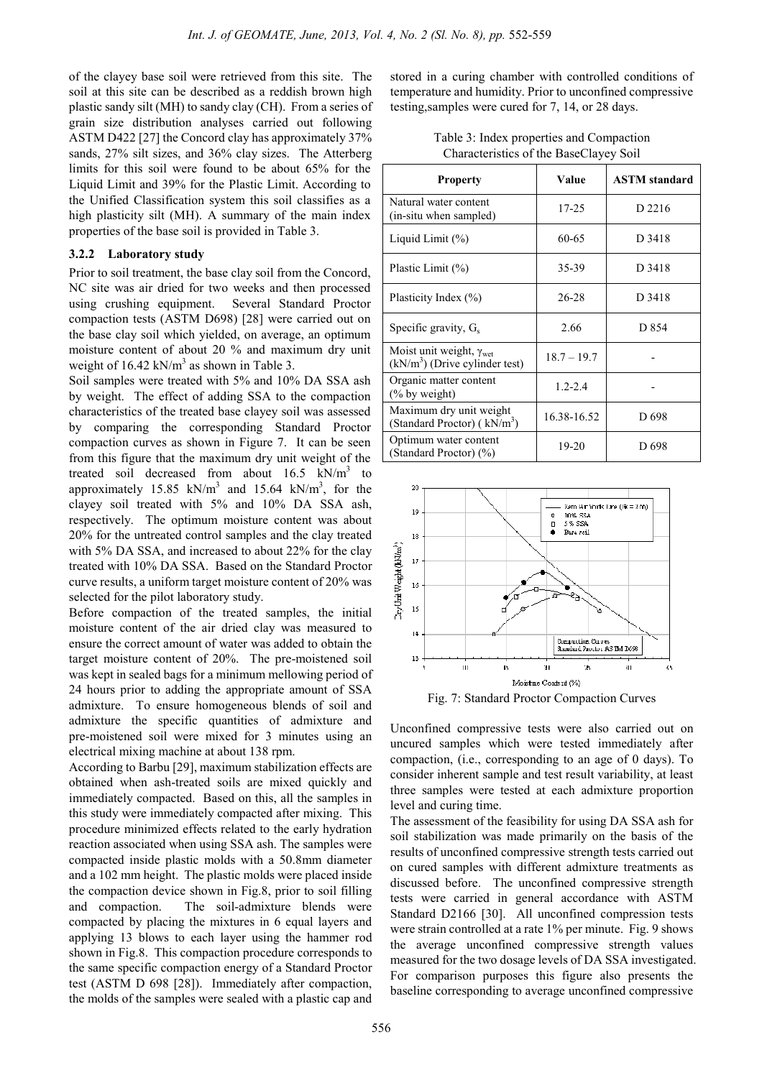of the clayey base soil were retrieved from this site. The soil at this site can be described as a reddish brown high plastic sandy silt (MH) to sandy clay (CH). From a series of grain size distribution analyses carried out following ASTM D422 [27] the Concord clay has approximately 37% sands, 27% silt sizes, and 36% clay sizes. The Atterberg limits for this soil were found to be about 65% for the Liquid Limit and 39% for the Plastic Limit. According to the Unified Classification system this soil classifies as a high plasticity silt (MH). A summary of the main index properties of the base soil is provided in Table 3.

# **3.2.2 Laboratory study**

Prior to soil treatment, the base clay soil from the Concord, NC site was air dried for two weeks and then processed using crushing equipment. Several Standard Proctor compaction tests (ASTM D698) [28] were carried out on the base clay soil which yielded, on average, an optimum moisture content of about 20 % and maximum dry unit weight of  $16.42 \text{ kN/m}^3$  as shown in Table 3.

Soil samples were treated with 5% and 10% DA SSA ash by weight. The effect of adding SSA to the compaction characteristics of the treated base clayey soil was assessed by comparing the corresponding Standard Proctor compaction curves as shown in Figure 7. It can be seen from this figure that the maximum dry unit weight of the treated soil decreased from about  $16.5$  kN/m<sup>3</sup> to approximately 15.85 kN/m<sup>3</sup> and 15.64 kN/m<sup>3</sup>, for the clayey soil treated with 5% and 10% DA SSA ash, respectively. The optimum moisture content was about 20% for the untreated control samples and the clay treated with 5% DA SSA, and increased to about 22% for the clay treated with 10% DA SSA. Based on the Standard Proctor curve results, a uniform target moisture content of 20% was selected for the pilot laboratory study.

Before compaction of the treated samples, the initial moisture content of the air dried clay was measured to ensure the correct amount of water was added to obtain the target moisture content of 20%. The pre-moistened soil was kept in sealed bags for a minimum mellowing period of 24 hours prior to adding the appropriate amount of SSA admixture. To ensure homogeneous blends of soil and admixture the specific quantities of admixture and pre-moistened soil were mixed for 3 minutes using an electrical mixing machine at about 138 rpm.

According to Barbu [29], maximum stabilization effects are obtained when ash-treated soils are mixed quickly and immediately compacted. Based on this, all the samples in this study were immediately compacted after mixing. This procedure minimized effects related to the early hydration reaction associated when using SSA ash. The samples were compacted inside plastic molds with a 50.8mm diameter and a 102 mm height. The plastic molds were placed inside the compaction device shown in Fig.8, prior to soil filling and compaction. The soil-admixture blends were compacted by placing the mixtures in 6 equal layers and applying 13 blows to each layer using the hammer rod shown in Fig.8. This compaction procedure corresponds to the same specific compaction energy of a Standard Proctor test (ASTM D 698 [28]). Immediately after compaction, the molds of the samples were sealed with a plastic cap and

stored in a curing chamber with controlled conditions of temperature and humidity. Prior to unconfined compressive testing,samples were cured for 7, 14, or 28 days.

| Table 3: Index properties and Compaction |
|------------------------------------------|
| Characteristics of the BaseClayey Soil   |

| <b>Property</b>                                                             | Value         | <b>ASTM</b> standard |
|-----------------------------------------------------------------------------|---------------|----------------------|
| Natural water content<br>(in-situ when sampled)                             | 17-25         | D 2216               |
| Liquid Limit $(\% )$                                                        | 60-65         | D 3418               |
| Plastic Limit $(\% )$                                                       | 35-39         | D 3418               |
| Plasticity Index (%)                                                        | $26 - 28$     | D 3418               |
| Specific gravity, $G_s$                                                     | 2.66          | D 854                |
| Moist unit weight, $\gamma_{\text{wet}}$<br>$(kN/m3)$ (Drive cylinder test) | $18.7 - 19.7$ |                      |
| Organic matter content<br>$\frac{6}{6}$ by weight)                          | $1.2 - 2.4$   |                      |
| Maximum dry unit weight<br>(Standard Proctor) (kN/m <sup>3</sup> )          | 16.38-16.52   | D <sub>698</sub>     |
| Optimum water content<br>(Standard Proctor) (%)                             | 19-20         | D 698                |



Fig. 7: Standard Proctor Compaction Curves

Unconfined compressive tests were also carried out on uncured samples which were tested immediately after compaction, (i.e., corresponding to an age of 0 days). To consider inherent sample and test result variability, at least three samples were tested at each admixture proportion level and curing time.

The assessment of the feasibility for using DA SSA ash for soil stabilization was made primarily on the basis of the results of unconfined compressive strength tests carried out on cured samples with different admixture treatments as discussed before. The unconfined compressive strength tests were carried in general accordance with ASTM Standard D2166 [30]. All unconfined compression tests were strain controlled at a rate 1% per minute. Fig. 9 shows the average unconfined compressive strength values measured for the two dosage levels of DA SSA investigated. For comparison purposes this figure also presents the baseline corresponding to average unconfined compressive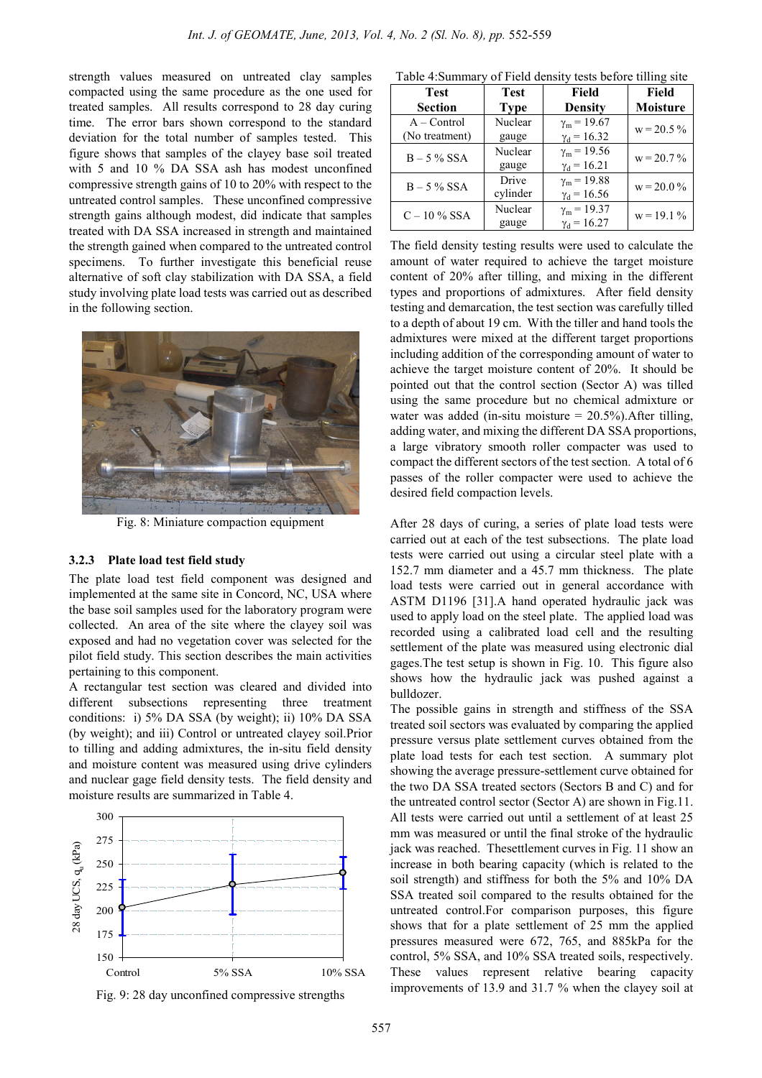strength values measured on untreated clay samples compacted using the same procedure as the one used for treated samples. All results correspond to 28 day curing time. The error bars shown correspond to the standard deviation for the total number of samples tested. This figure shows that samples of the clayey base soil treated with 5 and 10 % DA SSA ash has modest unconfined compressive strength gains of 10 to 20% with respect to the untreated control samples. These unconfined compressive strength gains although modest, did indicate that samples treated with DA SSA increased in strength and maintained the strength gained when compared to the untreated control specimens. To further investigate this beneficial reuse alternative of soft clay stabilization with DA SSA, a field study involving plate load tests was carried out as described in the following section.



Fig. 8: Miniature compaction equipment

#### **3.2.3 Plate load test field study**

The plate load test field component was designed and implemented at the same site in Concord, NC, USA where the base soil samples used for the laboratory program were collected. An area of the site where the clayey soil was exposed and had no vegetation cover was selected for the pilot field study. This section describes the main activities pertaining to this component.

A rectangular test section was cleared and divided into different subsections representing three treatment conditions: i) 5% DA SSA (by weight); ii) 10% DA SSA (by weight); and iii) Control or untreated clayey soil.Prior to tilling and adding admixtures, the in-situ field density and moisture content was measured using drive cylinders and nuclear gage field density tests. The field density and moisture results are summarized in Table 4.



Fig. 9: 28 day unconfined compressive strengths

| <b>Test</b><br><b>Section</b>   | <b>Test</b><br><b>Type</b> | Field<br><b>Density</b>                        | Field<br><b>Moisture</b> |
|---------------------------------|----------------------------|------------------------------------------------|--------------------------|
| $A - Control$<br>(No treatment) | Nuclear<br>gauge           | $\gamma_m$ = 19.67<br>$\gamma_{d} = 16.32$     | $w = 20.5 \%$            |
| $B - 5\%$ SSA                   | Nuclear<br>gauge           | $\gamma_m$ = 19.56<br>$\gamma_d = 16.21$       | $w = 20.7\%$             |
| $B - 5\%$ SSA                   | Drive<br>cylinder          | $\gamma_{\rm m} = 19.88$<br>$\gamma_d = 16.56$ | $w = 20.0\%$             |
| $C - 10\%$ SSA                  | Nuclear<br>gauge           | $\gamma_m = 19.37$<br>$y_d = 16.27$            | $w = 19.1 \%$            |

The field density testing results were used to calculate the amount of water required to achieve the target moisture content of 20% after tilling, and mixing in the different types and proportions of admixtures. After field density testing and demarcation, the test section was carefully tilled to a depth of about 19 cm. With the tiller and hand tools the admixtures were mixed at the different target proportions including addition of the corresponding amount of water to achieve the target moisture content of 20%. It should be pointed out that the control section (Sector A) was tilled using the same procedure but no chemical admixture or water was added (in-situ moisture  $= 20.5\%$ ). After tilling, adding water, and mixing the different DA SSA proportions, a large vibratory smooth roller compacter was used to compact the different sectors of the test section. A total of 6 passes of the roller compacter were used to achieve the desired field compaction levels.

After 28 days of curing, a series of plate load tests were carried out at each of the test subsections. The plate load tests were carried out using a circular steel plate with a 152.7 mm diameter and a 45.7 mm thickness. The plate load tests were carried out in general accordance with ASTM D1196 [31].A hand operated hydraulic jack was used to apply load on the steel plate. The applied load was recorded using a calibrated load cell and the resulting settlement of the plate was measured using electronic dial gages.The test setup is shown in Fig. 10. This figure also shows how the hydraulic jack was pushed against a bulldozer.

The possible gains in strength and stiffness of the SSA treated soil sectors was evaluated by comparing the applied pressure versus plate settlement curves obtained from the plate load tests for each test section. A summary plot showing the average pressure-settlement curve obtained for the two DA SSA treated sectors (Sectors B and C) and for the untreated control sector (Sector A) are shown in Fig.11. All tests were carried out until a settlement of at least 25 mm was measured or until the final stroke of the hydraulic jack was reached. Thesettlement curves in Fig. 11 show an increase in both bearing capacity (which is related to the soil strength) and stiffness for both the 5% and 10% DA SSA treated soil compared to the results obtained for the untreated control.For comparison purposes, this figure shows that for a plate settlement of 25 mm the applied pressures measured were 672, 765, and 885kPa for the control, 5% SSA, and 10% SSA treated soils, respectively. These values represent relative bearing capacity improvements of 13.9 and 31.7 % when the clayey soil at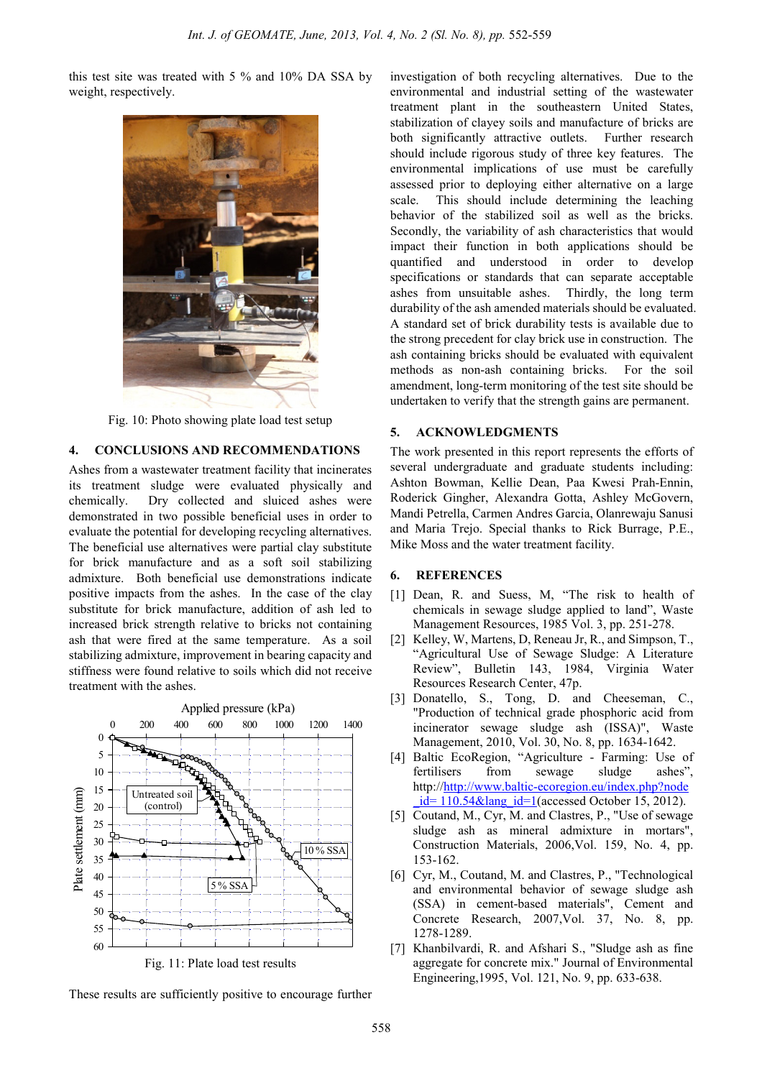this test site was treated with 5 % and 10% DA SSA by weight, respectively.



Fig. 10: Photo showing plate load test setup

# **4. CONCLUSIONS AND RECOMMENDATIONS**

Ashes from a wastewater treatment facility that incinerates its treatment sludge were evaluated physically and chemically. Dry collected and sluiced ashes were demonstrated in two possible beneficial uses in order to evaluate the potential for developing recycling alternatives. The beneficial use alternatives were partial clay substitute for brick manufacture and as a soft soil stabilizing admixture. Both beneficial use demonstrations indicate positive impacts from the ashes. In the case of the clay substitute for brick manufacture, addition of ash led to increased brick strength relative to bricks not containing ash that were fired at the same temperature. As a soil stabilizing admixture, improvement in bearing capacity and stiffness were found relative to soils which did not receive treatment with the ashes.



These results are sufficiently positive to encourage further

investigation of both recycling alternatives. Due to the environmental and industrial setting of the wastewater treatment plant in the southeastern United States, stabilization of clayey soils and manufacture of bricks are both significantly attractive outlets. Further research should include rigorous study of three key features. The environmental implications of use must be carefully assessed prior to deploying either alternative on a large scale. This should include determining the leaching behavior of the stabilized soil as well as the bricks. Secondly, the variability of ash characteristics that would impact their function in both applications should be quantified and understood in order to develop specifications or standards that can separate acceptable ashes from unsuitable ashes. Thirdly, the long term durability of the ash amended materials should be evaluated. A standard set of brick durability tests is available due to the strong precedent for clay brick use in construction. The ash containing bricks should be evaluated with equivalent methods as non-ash containing bricks. For the soil amendment, long-term monitoring of the test site should be undertaken to verify that the strength gains are permanent.

### **5. ACKNOWLEDGMENTS**

The work presented in this report represents the efforts of several undergraduate and graduate students including: Ashton Bowman, Kellie Dean, Paa Kwesi Prah-Ennin, Roderick Gingher, Alexandra Gotta, Ashley McGovern, Mandi Petrella, Carmen Andres Garcia, Olanrewaju Sanusi and Maria Trejo. Special thanks to Rick Burrage, P.E., Mike Moss and the water treatment facility.

#### **6. REFERENCES**

- [1] Dean, R. and Suess, M, "The risk to health of chemicals in sewage sludge applied to land", Waste Management Resources, 1985 Vol. 3, pp. 251-278.
- [2] Kelley, W, Martens, D, Reneau Jr, R., and Simpson, T., "Agricultural Use of Sewage Sludge: A Literature Review", Bulletin 143, 1984, Virginia Water Resources Research Center, 47p.
- [3] Donatello, S., Tong, D. and Cheeseman, C., "Production of technical grade phosphoric acid from incinerator sewage sludge ash (ISSA)", Waste Management, 2010, Vol. 30, No. 8, pp. 1634-1642.
- [4] Baltic EcoRegion, "Agriculture Farming: Use of fertilisers from sewage sludge ashes", http://http://www.baltic-ecoregion.eu/index.php?node  $id= 110.54\&$ lang  $id=1$ (accessed October 15, 2012).
- [5] Coutand, M., Cyr, M. and Clastres, P., "Use of sewage sludge ash as mineral admixture in mortars", Construction Materials, 2006,Vol. 159, No. 4, pp. 153-162.
- [6] Cyr, M., Coutand, M. and Clastres, P., "Technological and environmental behavior of sewage sludge ash (SSA) in cement-based materials", Cement and Concrete Research, 2007,Vol. 37, No. 8, pp. 1278-1289.
- [7] Khanbilvardi, R. and Afshari S., "Sludge ash as fine aggregate for concrete mix." Journal of Environmental Engineering,1995, Vol. 121, No. 9, pp. 633-638.